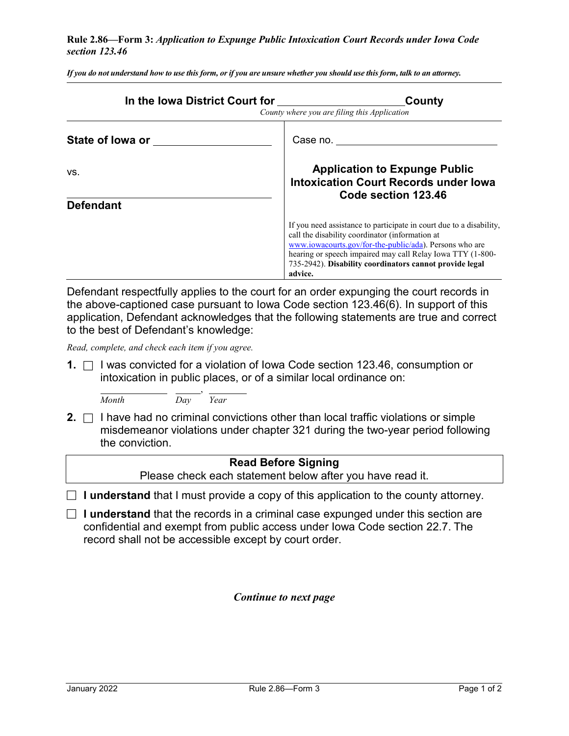## **Rule 2.86—Form 3:** *Application to Expunge Public Intoxication Court Records under Iowa Code section 123.46*

*If you do not understand how to use this form, or if you are unsure whether you should use this form, talk to an attorney.*

| In the Iowa District Court for the lower of the lower state of the lower state of the lower state of the lower | County<br>County where you are filing this Application                                                                                                                                                                                                                                                                |  |  |
|----------------------------------------------------------------------------------------------------------------|-----------------------------------------------------------------------------------------------------------------------------------------------------------------------------------------------------------------------------------------------------------------------------------------------------------------------|--|--|
| State of lowa or state of lowa or                                                                              | Case no.                                                                                                                                                                                                                                                                                                              |  |  |
| VS.<br><b>Defendant</b>                                                                                        | <b>Application to Expunge Public</b><br><b>Intoxication Court Records under lowa</b><br>Code section 123.46                                                                                                                                                                                                           |  |  |
|                                                                                                                | If you need assistance to participate in court due to a disability,<br>call the disability coordinator (information at<br>www.iowacourts.gov/for-the-public/ada). Persons who are<br>hearing or speech impaired may call Relay Iowa TTY (1-800-<br>735-2942). Disability coordinators cannot provide legal<br>advice. |  |  |

Defendant respectfully applies to the court for an order expunging the court records in the above-captioned case pursuant to Iowa Code section 123.46(6). In support of this application, Defendant acknowledges that the following statements are true and correct to the best of Defendant's knowledge:

*Read, complete, and check each item if you agree.*

**1.** □ I was convicted for a violation of Iowa Code section 123.46, consumption or intoxication in public places, or of a similar local ordinance on:

, *Month Day Year*

**2.**  $\Box$  I have had no criminal convictions other than local traffic violations or simple misdemeanor violations under chapter 321 during the two-year period following the conviction.

## **Read Before Signing** Please check each statement below after you have read it.  $\Box$  **I understand** that I must provide a copy of this application to the county attorney.

 **I understand** that the records in a criminal case expunged under this section are confidential and exempt from public access under Iowa Code section 22.7. The record shall not be accessible except by court order.

*Continue to next page*